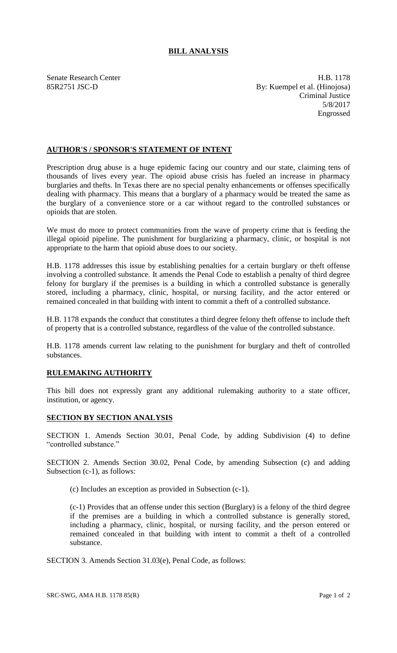## **BILL ANALYSIS**

Senate Research Center **H.B. 1178** 85R2751 JSC-D By: Kuempel et al. (Hinojosa) Criminal Justice 5/8/2017 Engrossed

## **AUTHOR'S / SPONSOR'S STATEMENT OF INTENT**

Prescription drug abuse is a huge epidemic facing our country and our state, claiming tens of thousands of lives every year. The opioid abuse crisis has fueled an increase in pharmacy burglaries and thefts. In Texas there are no special penalty enhancements or offenses specifically dealing with pharmacy. This means that a burglary of a pharmacy would be treated the same as the burglary of a convenience store or a car without regard to the controlled substances or opioids that are stolen.

We must do more to protect communities from the wave of property crime that is feeding the illegal opioid pipeline. The punishment for burglarizing a pharmacy, clinic, or hospital is not appropriate to the harm that opioid abuse does to our society.

H.B. 1178 addresses this issue by establishing penalties for a certain burglary or theft offense involving a controlled substance. It amends the Penal Code to establish a penalty of third degree felony for burglary if the premises is a building in which a controlled substance is generally stored, including a pharmacy, clinic, hospital, or nursing facility, and the actor entered or remained concealed in that building with intent to commit a theft of a controlled substance.

H.B. 1178 expands the conduct that constitutes a third degree felony theft offense to include theft of property that is a controlled substance, regardless of the value of the controlled substance.

H.B. 1178 amends current law relating to the punishment for burglary and theft of controlled substances.

## **RULEMAKING AUTHORITY**

This bill does not expressly grant any additional rulemaking authority to a state officer, institution, or agency.

## **SECTION BY SECTION ANALYSIS**

SECTION 1. Amends Section 30.01, Penal Code, by adding Subdivision (4) to define "controlled substance."

SECTION 2. Amends Section 30.02, Penal Code, by amending Subsection (c) and adding Subsection (c-1), as follows:

(c) Includes an exception as provided in Subsection (c-1).

(c-1) Provides that an offense under this section (Burglary) is a felony of the third degree if the premises are a building in which a controlled substance is generally stored, including a pharmacy, clinic, hospital, or nursing facility, and the person entered or remained concealed in that building with intent to commit a theft of a controlled substance.

SECTION 3. Amends Section 31.03(e), Penal Code, as follows: